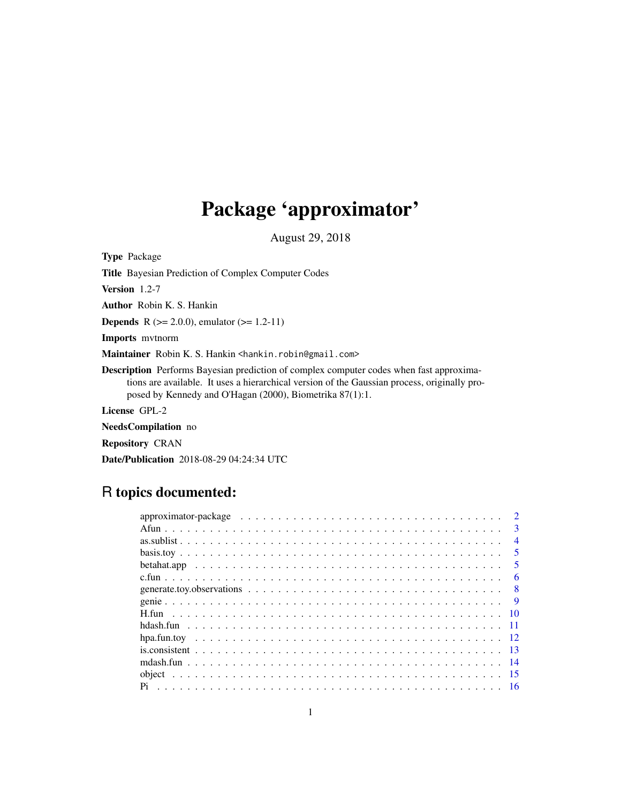# Package 'approximator'

August 29, 2018

<span id="page-0-0"></span>Type Package Title Bayesian Prediction of Complex Computer Codes

Version 1.2-7

Author Robin K. S. Hankin

**Depends** R ( $>= 2.0.0$ ), emulator ( $>= 1.2-11$ )

Imports mvtnorm

Maintainer Robin K. S. Hankin <hankin.robin@gmail.com>

Description Performs Bayesian prediction of complex computer codes when fast approximations are available. It uses a hierarchical version of the Gaussian process, originally proposed by Kennedy and O'Hagan (2000), Biometrika 87(1):1.

License GPL-2

NeedsCompilation no

Repository CRAN

Date/Publication 2018-08-29 04:24:34 UTC

# R topics documented:

|  |  |  |  |  |  |  | $\mathcal{D}$           |
|--|--|--|--|--|--|--|-------------------------|
|  |  |  |  |  |  |  | $\mathbf{3}$            |
|  |  |  |  |  |  |  | $\overline{4}$          |
|  |  |  |  |  |  |  | $\overline{\mathbf{5}}$ |
|  |  |  |  |  |  |  | $\overline{\mathbf{5}}$ |
|  |  |  |  |  |  |  | 6                       |
|  |  |  |  |  |  |  | 8 <sup>8</sup>          |
|  |  |  |  |  |  |  |                         |
|  |  |  |  |  |  |  |                         |
|  |  |  |  |  |  |  |                         |
|  |  |  |  |  |  |  |                         |
|  |  |  |  |  |  |  |                         |
|  |  |  |  |  |  |  |                         |
|  |  |  |  |  |  |  | -15                     |
|  |  |  |  |  |  |  |                         |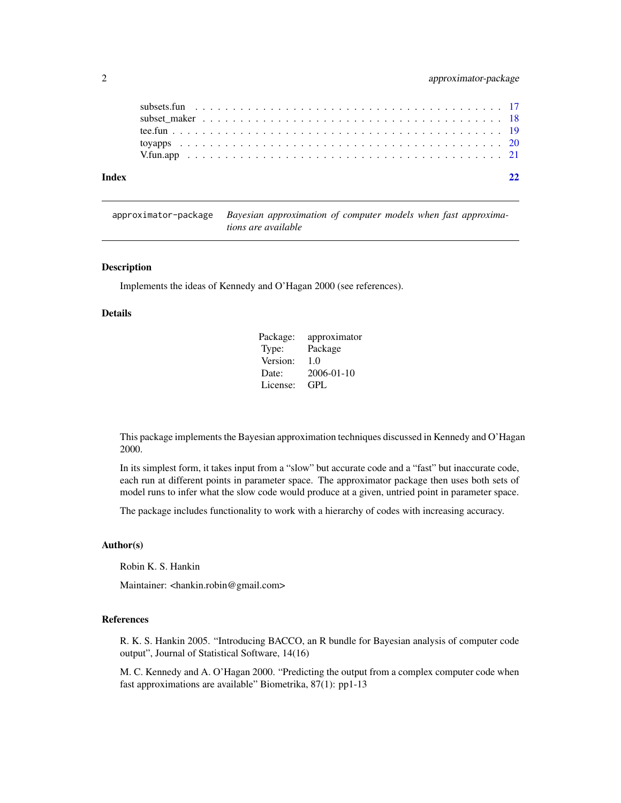<span id="page-1-0"></span>

| Index |  |  |  |  |  |  |  |  |  |  |  |  |  |  |  |  |  |  |
|-------|--|--|--|--|--|--|--|--|--|--|--|--|--|--|--|--|--|--|
|       |  |  |  |  |  |  |  |  |  |  |  |  |  |  |  |  |  |  |
|       |  |  |  |  |  |  |  |  |  |  |  |  |  |  |  |  |  |  |
|       |  |  |  |  |  |  |  |  |  |  |  |  |  |  |  |  |  |  |
|       |  |  |  |  |  |  |  |  |  |  |  |  |  |  |  |  |  |  |
|       |  |  |  |  |  |  |  |  |  |  |  |  |  |  |  |  |  |  |

approximator-package *Bayesian approximation of computer models when fast approximations are available*

# Description

Implements the ideas of Kennedy and O'Hagan 2000 (see references).

#### Details

| Package: | approximator     |
|----------|------------------|
| Type:    | Package          |
| Version: | 1.0              |
| Date:    | $2006 - 01 - 10$ |
| License: | GPL              |

This package implements the Bayesian approximation techniques discussed in Kennedy and O'Hagan 2000.

In its simplest form, it takes input from a "slow" but accurate code and a "fast" but inaccurate code, each run at different points in parameter space. The approximator package then uses both sets of model runs to infer what the slow code would produce at a given, untried point in parameter space.

The package includes functionality to work with a hierarchy of codes with increasing accuracy.

#### Author(s)

Robin K. S. Hankin

Maintainer: <hankin.robin@gmail.com>

# References

R. K. S. Hankin 2005. "Introducing BACCO, an R bundle for Bayesian analysis of computer code output", Journal of Statistical Software, 14(16)

M. C. Kennedy and A. O'Hagan 2000. "Predicting the output from a complex computer code when fast approximations are available" Biometrika, 87(1): pp1-13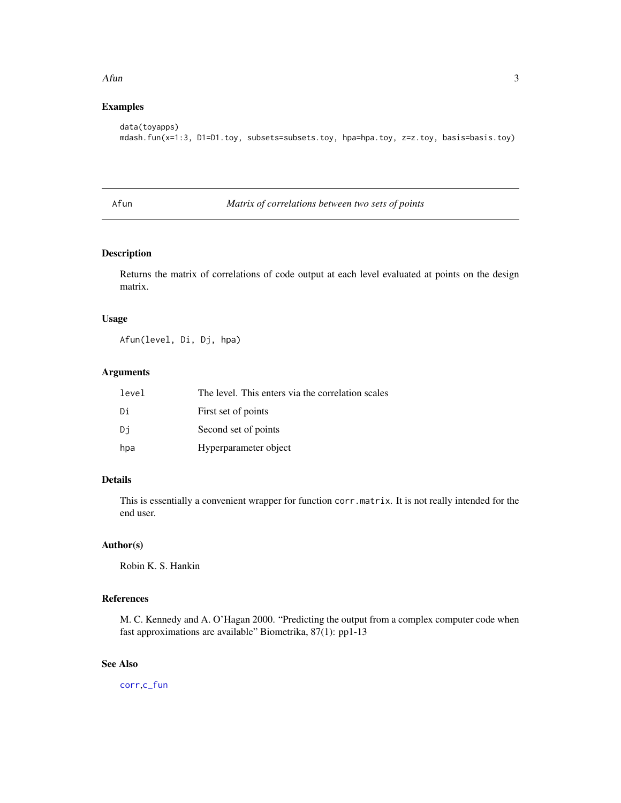#### <span id="page-2-0"></span> $A$ fun $3$

# Examples

```
data(toyapps)
mdash.fun(x=1:3, D1=D1.toy, subsets=subsets.toy, hpa=hpa.toy, z=z.toy, basis=basis.toy)
```
<span id="page-2-1"></span>

# Afun *Matrix of correlations between two sets of points*

# Description

Returns the matrix of correlations of code output at each level evaluated at points on the design matrix.

# Usage

Afun(level, Di, Dj, hpa)

#### Arguments

| level | The level. This enters via the correlation scales |
|-------|---------------------------------------------------|
| Di    | First set of points                               |
| Di    | Second set of points                              |
| hpa   | Hyperparameter object                             |

# Details

This is essentially a convenient wrapper for function corr.matrix. It is not really intended for the end user.

# Author(s)

Robin K. S. Hankin

# References

M. C. Kennedy and A. O'Hagan 2000. "Predicting the output from a complex computer code when fast approximations are available" Biometrika, 87(1): pp1-13

# See Also

[corr](#page-0-0),[c\\_fun](#page-5-1)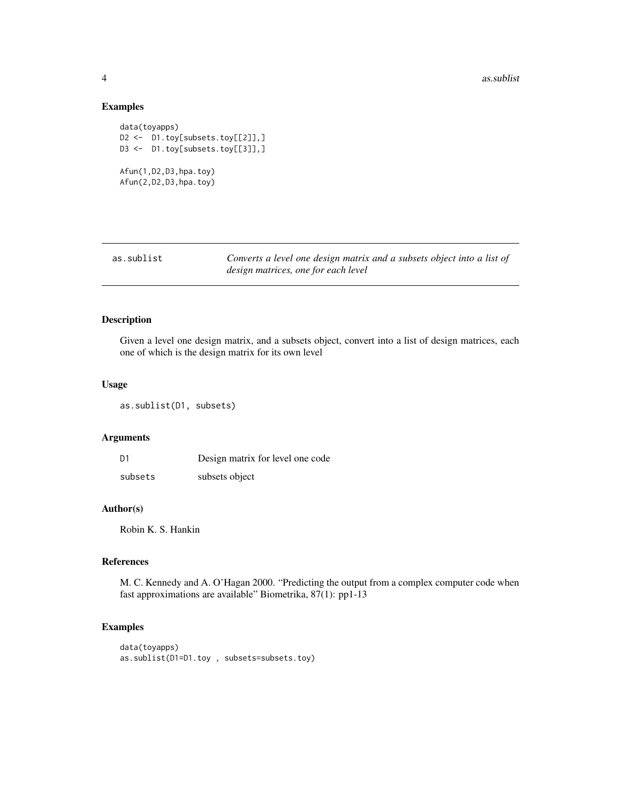# Examples

```
data(toyapps)
D2 <- D1.toy[subsets.toy[[2]],]
D3 <- D1.toy[subsets.toy[[3]],]
Afun(1,D2,D3,hpa.toy)
Afun(2,D2,D3,hpa.toy)
```

| as.sublist | Converts a level one design matrix and a subsets object into a list of |
|------------|------------------------------------------------------------------------|
|            | design matrices, one for each level                                    |

# Description

Given a level one design matrix, and a subsets object, convert into a list of design matrices, each one of which is the design matrix for its own level

# Usage

as.sublist(D1, subsets)

#### Arguments

| D1      | Design matrix for level one code |
|---------|----------------------------------|
| subsets | subsets object                   |

# Author(s)

Robin K. S. Hankin

#### References

M. C. Kennedy and A. O'Hagan 2000. "Predicting the output from a complex computer code when fast approximations are available" Biometrika, 87(1): pp1-13

# Examples

```
data(toyapps)
as.sublist(D1=D1.toy , subsets=subsets.toy)
```
<span id="page-3-0"></span>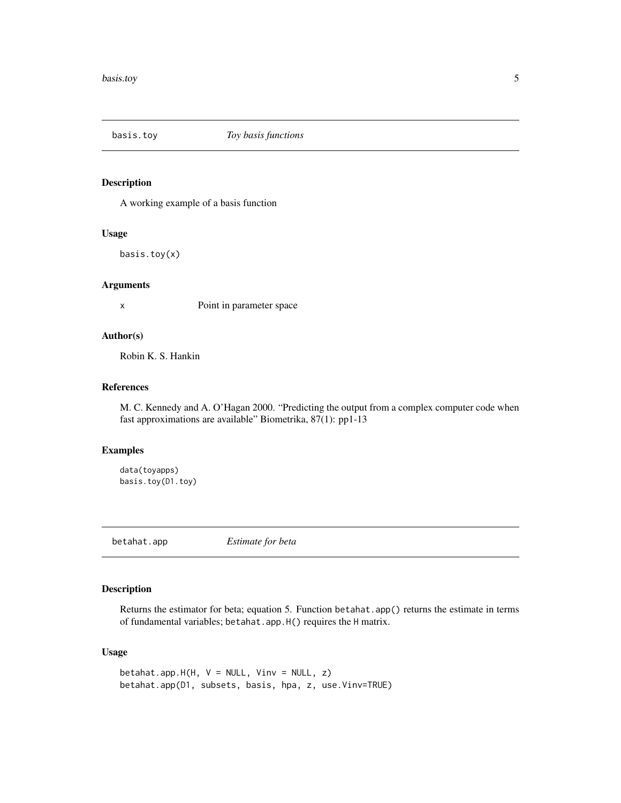<span id="page-4-0"></span>

A working example of a basis function

# Usage

basis.toy(x)

# Arguments

x Point in parameter space

# Author(s)

Robin K. S. Hankin

# References

M. C. Kennedy and A. O'Hagan 2000. "Predicting the output from a complex computer code when fast approximations are available" Biometrika, 87(1): pp1-13

# Examples

```
data(toyapps)
basis.toy(D1.toy)
```
betahat.app *Estimate for beta*

# Description

Returns the estimator for beta; equation 5. Function betahat.app() returns the estimate in terms of fundamental variables; betahat.app.H() requires the H matrix.

# Usage

```
betahat.app.H(H, V = NULL, Vinv = NULL, z)
betahat.app(D1, subsets, basis, hpa, z, use.Vinv=TRUE)
```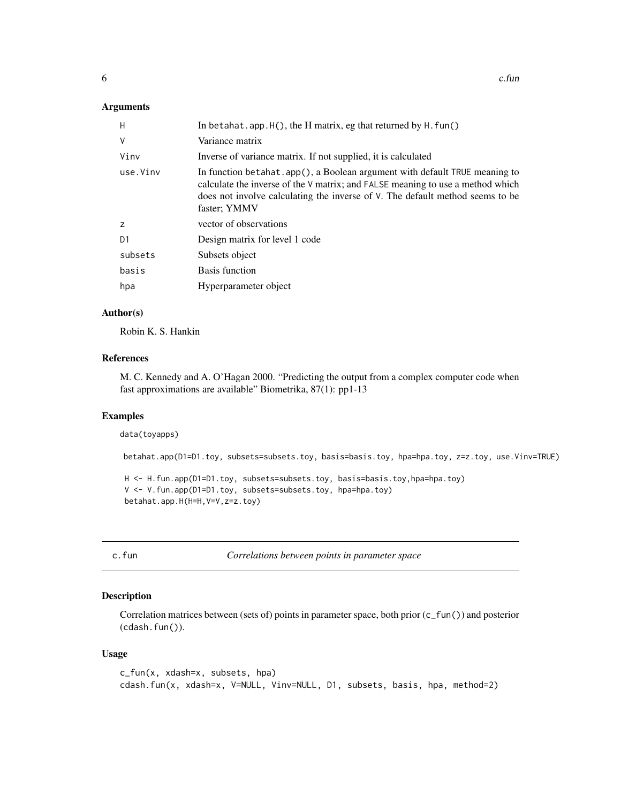#### <span id="page-5-0"></span>Arguments

| In betahat. app. $H()$ , the H matrix, eg that returned by $H$ . fun()                                                                                                                                                                                        |
|---------------------------------------------------------------------------------------------------------------------------------------------------------------------------------------------------------------------------------------------------------------|
| Variance matrix                                                                                                                                                                                                                                               |
| Inverse of variance matrix. If not supplied, it is calculated                                                                                                                                                                                                 |
| In function betahat.app(), a Boolean argument with default TRUE meaning to<br>calculate the inverse of the V matrix; and FALSE meaning to use a method which<br>does not involve calculating the inverse of V. The default method seems to be<br>faster; YMMV |
| vector of observations                                                                                                                                                                                                                                        |
| Design matrix for level 1 code                                                                                                                                                                                                                                |
| Subsets object                                                                                                                                                                                                                                                |
| Basis function                                                                                                                                                                                                                                                |
| Hyperparameter object                                                                                                                                                                                                                                         |
|                                                                                                                                                                                                                                                               |

### Author(s)

Robin K. S. Hankin

#### References

M. C. Kennedy and A. O'Hagan 2000. "Predicting the output from a complex computer code when fast approximations are available" Biometrika, 87(1): pp1-13

#### Examples

data(toyapps)

betahat.app(D1=D1.toy, subsets=subsets.toy, basis=basis.toy, hpa=hpa.toy, z=z.toy, use.Vinv=TRUE)

```
H <- H.fun.app(D1=D1.toy, subsets=subsets.toy, basis=basis.toy,hpa=hpa.toy)
V <- V.fun.app(D1=D1.toy, subsets=subsets.toy, hpa=hpa.toy)
betahat.app.H(H=H,V=V,z=z.toy)
```
c.fun *Correlations between points in parameter space*

# <span id="page-5-1"></span>Description

Correlation matrices between (sets of) points in parameter space, both prior (c\_fun()) and posterior (cdash.fun()).

# Usage

```
c_fun(x, xdash=x, subsets, hpa)
cdash.fun(x, xdash=x, V=NULL, Vinv=NULL, D1, subsets, basis, hpa, method=2)
```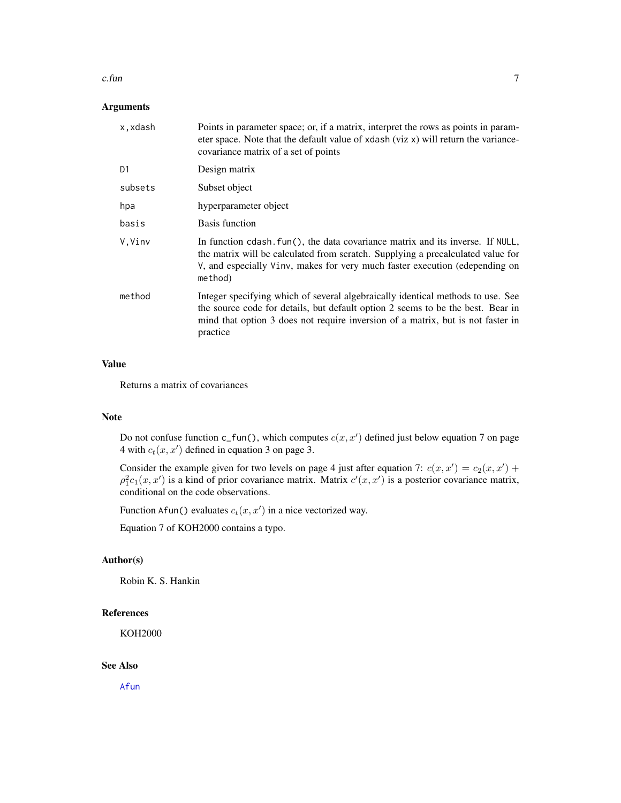#### <span id="page-6-0"></span> $c.$ fun $\qquad \qquad$

# Arguments

| Points in parameter space; or, if a matrix, interpret the rows as points in param-<br>eter space. Note that the default value of xdash (viz x) will return the variance-<br>covariance matrix of a set of points                                                  |
|-------------------------------------------------------------------------------------------------------------------------------------------------------------------------------------------------------------------------------------------------------------------|
| Design matrix                                                                                                                                                                                                                                                     |
| Subset object                                                                                                                                                                                                                                                     |
| hyperparameter object                                                                                                                                                                                                                                             |
| Basis function                                                                                                                                                                                                                                                    |
| In function cdash. fun(), the data covariance matrix and its inverse. If NULL,<br>the matrix will be calculated from scratch. Supplying a precalculated value for<br>V, and especially Vinv, makes for very much faster execution (edepending on<br>method)       |
| Integer specifying which of several algebraically identical methods to use. See<br>the source code for details, but default option 2 seems to be the best. Bear in<br>mind that option 3 does not require inversion of a matrix, but is not faster in<br>practice |
|                                                                                                                                                                                                                                                                   |

# Value

Returns a matrix of covariances

#### Note

Do not confuse function  $c_fun()$ , which computes  $c(x, x')$  defined just below equation 7 on page 4 with  $c_t(x, x')$  defined in equation 3 on page 3.

Consider the example given for two levels on page 4 just after equation 7:  $c(x, x') = c_2(x, x') + c_1(x)$  $\rho_1^2 c_1(x, x')$  is a kind of prior covariance matrix. Matrix  $c'(x, x')$  is a posterior covariance matrix, conditional on the code observations.

Function Afun() evaluates  $c_t(x, x')$  in a nice vectorized way.

Equation 7 of KOH2000 contains a typo.

# Author(s)

Robin K. S. Hankin

#### References

KOH2000

#### See Also

[Afun](#page-2-1)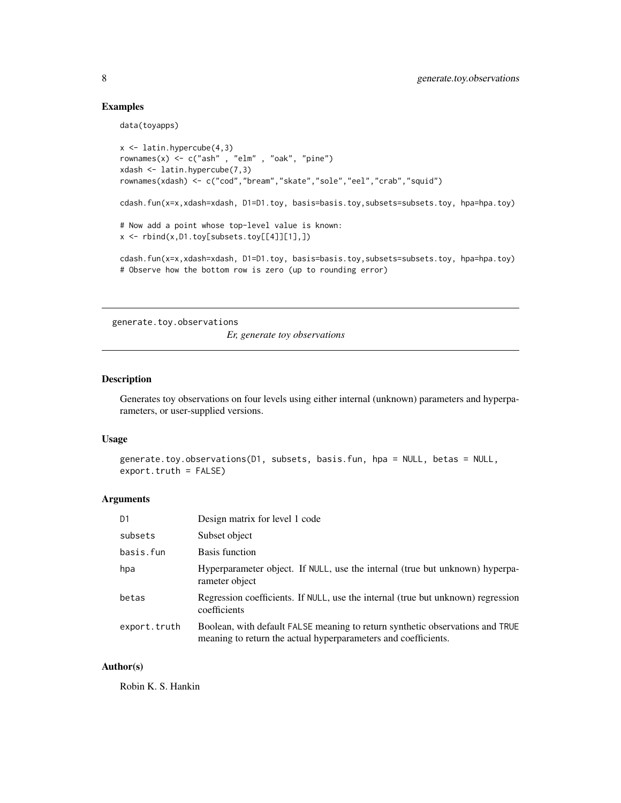### Examples

data(toyapps)

```
x \leftarrow latin.hypercube(4,3)
rownames(x) <- c("ash" , "elm" , "oak", "pine")
xdash <- latin.hypercube(7,3)
rownames(xdash) <- c("cod","bream","skate","sole","eel","crab","squid")
cdash.fun(x=x,xdash=xdash, D1=D1.toy, basis=basis.toy,subsets=subsets.toy, hpa=hpa.toy)
# Now add a point whose top-level value is known:
x <- rbind(x,D1.toy[subsets.toy[[4]][1],])
cdash.fun(x=x,xdash=xdash, D1=D1.toy, basis=basis.toy,subsets=subsets.toy, hpa=hpa.toy)
# Observe how the bottom row is zero (up to rounding error)
```
generate.toy.observations

*Er, generate toy observations*

# Description

Generates toy observations on four levels using either internal (unknown) parameters and hyperparameters, or user-supplied versions.

#### Usage

```
generate.toy.observations(D1, subsets, basis.fun, hpa = NULL, betas = NULL,
export.truth = FALSE)
```
#### Arguments

| D <sub>1</sub> | Design matrix for level 1 code                                                                                                                  |
|----------------|-------------------------------------------------------------------------------------------------------------------------------------------------|
| subsets        | Subset object                                                                                                                                   |
| basis.fun      | Basis function                                                                                                                                  |
| hpa            | Hyperparameter object. If NULL, use the internal (true but unknown) hyperpa-<br>rameter object                                                  |
| betas          | Regression coefficients. If NULL, use the internal (true but unknown) regression<br>coefficients                                                |
| export.truth   | Boolean, with default FALSE meaning to return synthetic observations and TRUE<br>meaning to return the actual hyperparameters and coefficients. |

#### Author(s)

Robin K. S. Hankin

<span id="page-7-0"></span>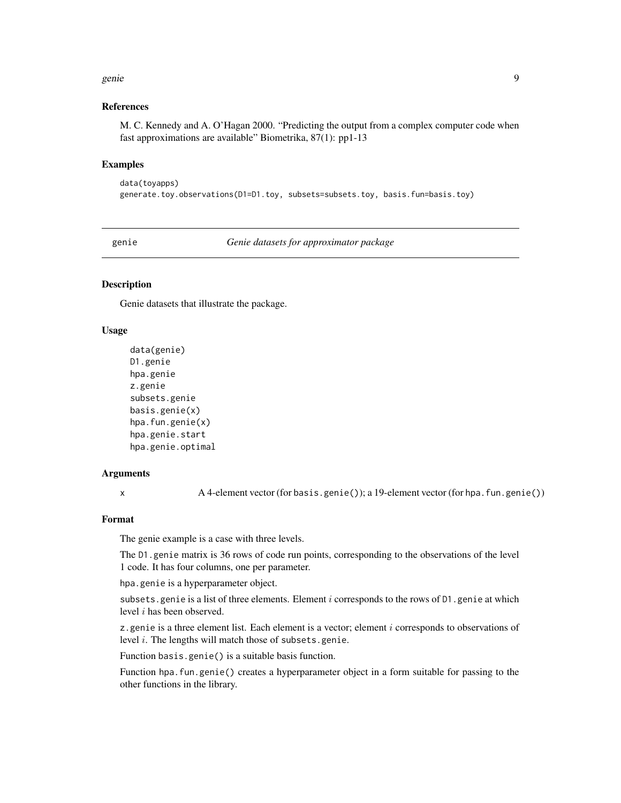#### <span id="page-8-0"></span>genie 1996 waarde gehad. Dit was die 1996 was die 1997 was die 1997 was die 1997 was die 1998 was die 1998 was

#### References

M. C. Kennedy and A. O'Hagan 2000. "Predicting the output from a complex computer code when fast approximations are available" Biometrika, 87(1): pp1-13

#### Examples

```
data(toyapps)
generate.toy.observations(D1=D1.toy, subsets=subsets.toy, basis.fun=basis.toy)
```
<span id="page-8-1"></span>genie *Genie datasets for approximator package*

# **Description**

Genie datasets that illustrate the package.

# Usage

```
data(genie)
D1.genie
hpa.genie
z.genie
subsets.genie
basis.genie(x)
hpa.fun.genie(x)
hpa.genie.start
hpa.genie.optimal
```
#### Arguments

x A 4-element vector (for basis.genie()); a 19-element vector (for hpa.fun.genie())

# Format

The genie example is a case with three levels.

The D1.genie matrix is 36 rows of code run points, corresponding to the observations of the level 1 code. It has four columns, one per parameter.

hpa.genie is a hyperparameter object.

subsets. genie is a list of three elements. Element  $i$  corresponds to the rows of  $D1$ . genie at which level i has been observed.

z.genie is a three element list. Each element is a vector; element  $i$  corresponds to observations of level i. The lengths will match those of subsets.genie.

Function basis.genie() is a suitable basis function.

Function hpa.fun.genie() creates a hyperparameter object in a form suitable for passing to the other functions in the library.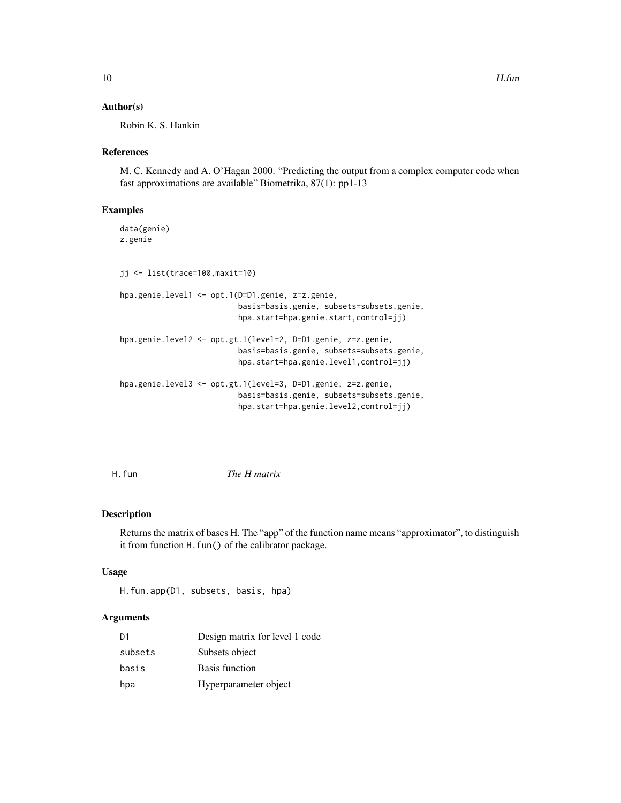#### <span id="page-9-0"></span>Author(s)

Robin K. S. Hankin

#### References

M. C. Kennedy and A. O'Hagan 2000. "Predicting the output from a complex computer code when fast approximations are available" Biometrika, 87(1): pp1-13

#### Examples

```
data(genie)
z.genie
jj <- list(trace=100,maxit=10)
hpa.genie.level1 <- opt.1(D=D1.genie, z=z.genie,
                          basis=basis.genie, subsets=subsets.genie,
                          hpa.start=hpa.genie.start,control=jj)
hpa.genie.level2 <- opt.gt.1(level=2, D=D1.genie, z=z.genie,
                          basis=basis.genie, subsets=subsets.genie,
                          hpa.start=hpa.genie.level1,control=jj)
hpa.genie.level3 <- opt.gt.1(level=3, D=D1.genie, z=z.genie,
                          basis=basis.genie, subsets=subsets.genie,
                          hpa.start=hpa.genie.level2,control=jj)
```
H.fun *The H matrix*

#### Description

Returns the matrix of bases H. The "app" of the function name means "approximator", to distinguish it from function H. fun() of the calibrator package.

#### Usage

```
H.fun.app(D1, subsets, basis, hpa)
```
# **Arguments**

| D1      | Design matrix for level 1 code |
|---------|--------------------------------|
| subsets | Subsets object                 |
| basis   | <b>Basis function</b>          |
| hpa     | Hyperparameter object          |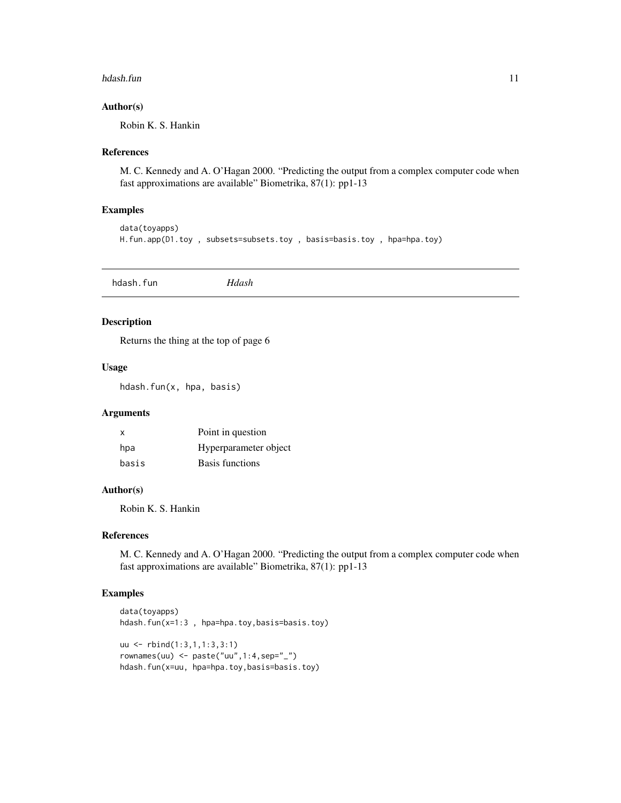#### <span id="page-10-0"></span>hdash.fun 11

# Author(s)

Robin K. S. Hankin

# References

M. C. Kennedy and A. O'Hagan 2000. "Predicting the output from a complex computer code when fast approximations are available" Biometrika, 87(1): pp1-13

#### Examples

```
data(toyapps)
H.fun.app(D1.toy , subsets=subsets.toy , basis=basis.toy , hpa=hpa.toy)
```
hdash.fun *Hdash*

#### Description

Returns the thing at the top of page 6

# Usage

hdash.fun(x, hpa, basis)

#### Arguments

| $\mathsf{x}$ | Point in question     |
|--------------|-----------------------|
| hpa          | Hyperparameter object |
| basis        | Basis functions       |

# Author(s)

Robin K. S. Hankin

# References

M. C. Kennedy and A. O'Hagan 2000. "Predicting the output from a complex computer code when fast approximations are available" Biometrika, 87(1): pp1-13

# Examples

```
data(toyapps)
hdash.fun(x=1:3 , hpa=hpa.toy,basis=basis.toy)
uu <- rbind(1:3,1,1:3,3:1)
rownames(uu) <- paste("uu",1:4,sep="_")
hdash.fun(x=uu, hpa=hpa.toy,basis=basis.toy)
```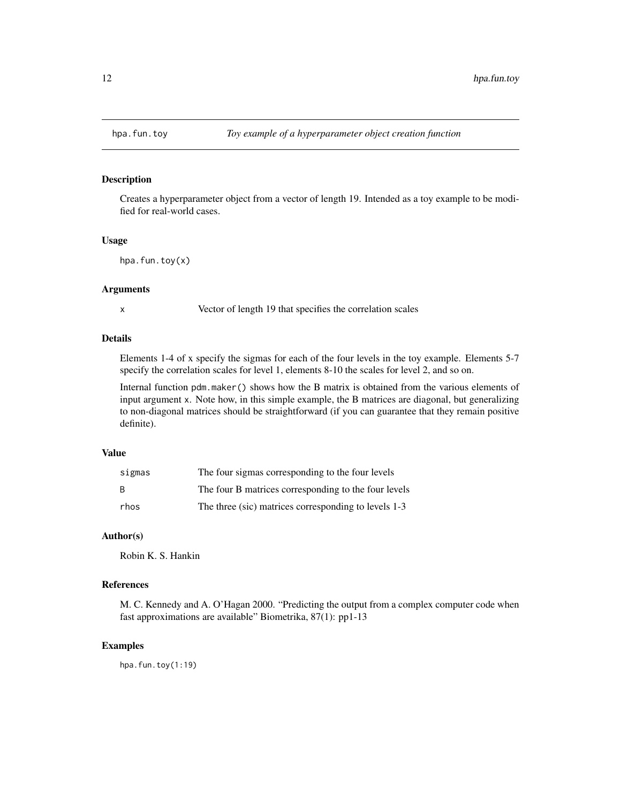<span id="page-11-0"></span>

Creates a hyperparameter object from a vector of length 19. Intended as a toy example to be modified for real-world cases.

#### Usage

 $hpa.fun.tov(x)$ 

### Arguments

x Vector of length 19 that specifies the correlation scales

# Details

Elements 1-4 of x specify the sigmas for each of the four levels in the toy example. Elements 5-7 specify the correlation scales for level 1, elements 8-10 the scales for level 2, and so on.

Internal function pdm.maker() shows how the B matrix is obtained from the various elements of input argument x. Note how, in this simple example, the B matrices are diagonal, but generalizing to non-diagonal matrices should be straightforward (if you can guarantee that they remain positive definite).

### Value

| sigmas | The four sigmas corresponding to the four levels     |
|--------|------------------------------------------------------|
| B.     | The four B matrices corresponding to the four levels |
| rhos   | The three (sic) matrices corresponding to levels 1-3 |

# Author(s)

Robin K. S. Hankin

# References

M. C. Kennedy and A. O'Hagan 2000. "Predicting the output from a complex computer code when fast approximations are available" Biometrika, 87(1): pp1-13

# Examples

hpa.fun.toy(1:19)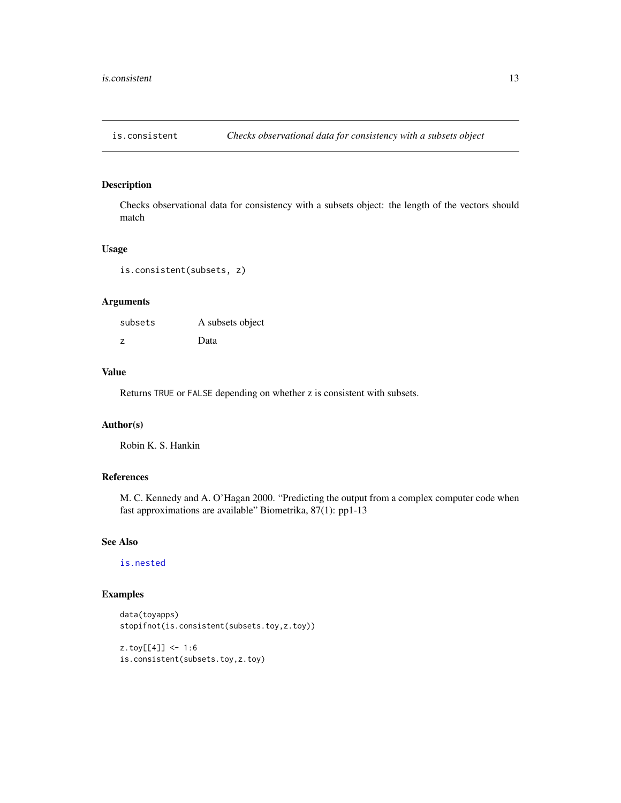<span id="page-12-1"></span><span id="page-12-0"></span>

Checks observational data for consistency with a subsets object: the length of the vectors should match

#### Usage

is.consistent(subsets, z)

# Arguments

| subsets | A subsets object |
|---------|------------------|
| Z       | Data             |

# Value

Returns TRUE or FALSE depending on whether z is consistent with subsets.

# Author(s)

Robin K. S. Hankin

# References

M. C. Kennedy and A. O'Hagan 2000. "Predicting the output from a complex computer code when fast approximations are available" Biometrika, 87(1): pp1-13

# See Also

[is.nested](#page-16-1)

# Examples

```
data(toyapps)
stopifnot(is.consistent(subsets.toy,z.toy))
```

```
z.toy[[4]] <- 1:6
is.consistent(subsets.toy,z.toy)
```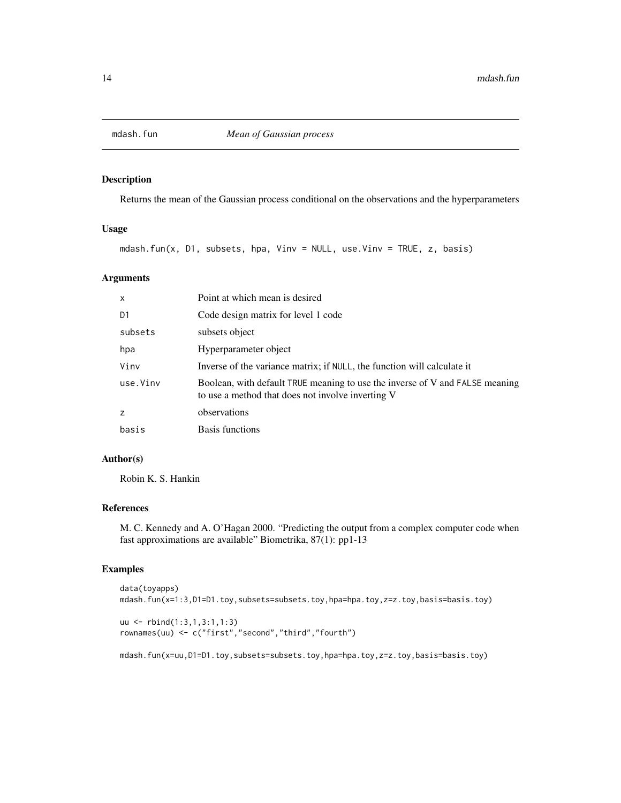<span id="page-13-0"></span>

Returns the mean of the Gaussian process conditional on the observations and the hyperparameters

# Usage

mdash.fun(x, D1, subsets, hpa, Vinv = NULL, use.Vinv = TRUE, z, basis)

# Arguments

| $\mathsf{x}$ | Point at which mean is desired                                                                                                    |
|--------------|-----------------------------------------------------------------------------------------------------------------------------------|
| D1           | Code design matrix for level 1 code                                                                                               |
| subsets      | subsets object                                                                                                                    |
| hpa          | Hyperparameter object                                                                                                             |
| Vinv         | Inverse of the variance matrix; if NULL, the function will calculate it                                                           |
| use.Vinv     | Boolean, with default TRUE meaning to use the inverse of V and FALSE meaning<br>to use a method that does not involve inverting V |
| z            | observations                                                                                                                      |
| basis        | Basis functions                                                                                                                   |

# Author(s)

Robin K. S. Hankin

# References

M. C. Kennedy and A. O'Hagan 2000. "Predicting the output from a complex computer code when fast approximations are available" Biometrika, 87(1): pp1-13

# Examples

```
data(toyapps)
mdash.fun(x=1:3,D1=D1.toy,subsets=subsets.toy,hpa=hpa.toy,z=z.toy,basis=basis.toy)
uu <- rbind(1:3,1,3:1,1:3)
rownames(uu) <- c("first","second","third","fourth")
```
mdash.fun(x=uu,D1=D1.toy,subsets=subsets.toy,hpa=hpa.toy,z=z.toy,basis=basis.toy)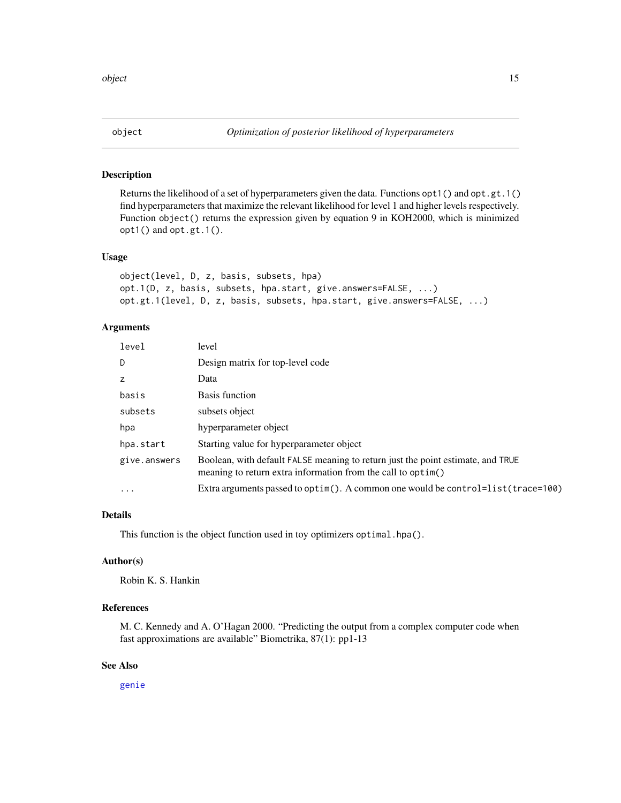<span id="page-14-0"></span>

Returns the likelihood of a set of hyperparameters given the data. Functions opt1() and opt.gt.1() find hyperparameters that maximize the relevant likelihood for level 1 and higher levels respectively. Function object() returns the expression given by equation 9 in KOH2000, which is minimized opt1() and opt.gt.1().

### Usage

```
object(level, D, z, basis, subsets, hpa)
opt.1(D, z, basis, subsets, hpa.start, give.answers=FALSE, ...)
opt.gt.1(level, D, z, basis, subsets, hpa.start, give.answers=FALSE, ...)
```
# Arguments

| level                   | level                                                                                                                                           |
|-------------------------|-------------------------------------------------------------------------------------------------------------------------------------------------|
| D                       | Design matrix for top-level code                                                                                                                |
| z                       | Data                                                                                                                                            |
| basis                   | Basis function                                                                                                                                  |
| subsets                 | subsets object                                                                                                                                  |
| hpa                     | hyperparameter object                                                                                                                           |
| hpa.start               | Starting value for hyperparameter object                                                                                                        |
| give.answers            | Boolean, with default FALSE meaning to return just the point estimate, and TRUE<br>meaning to return extra information from the call to optim() |
| $\cdot$ $\cdot$ $\cdot$ | Extra arguments passed to optim(). A common one would be control=list(trace=100)                                                                |
|                         |                                                                                                                                                 |

# Details

This function is the object function used in toy optimizers optimal.hpa().

#### Author(s)

Robin K. S. Hankin

# References

M. C. Kennedy and A. O'Hagan 2000. "Predicting the output from a complex computer code when fast approximations are available" Biometrika, 87(1): pp1-13

#### See Also

[genie](#page-8-1)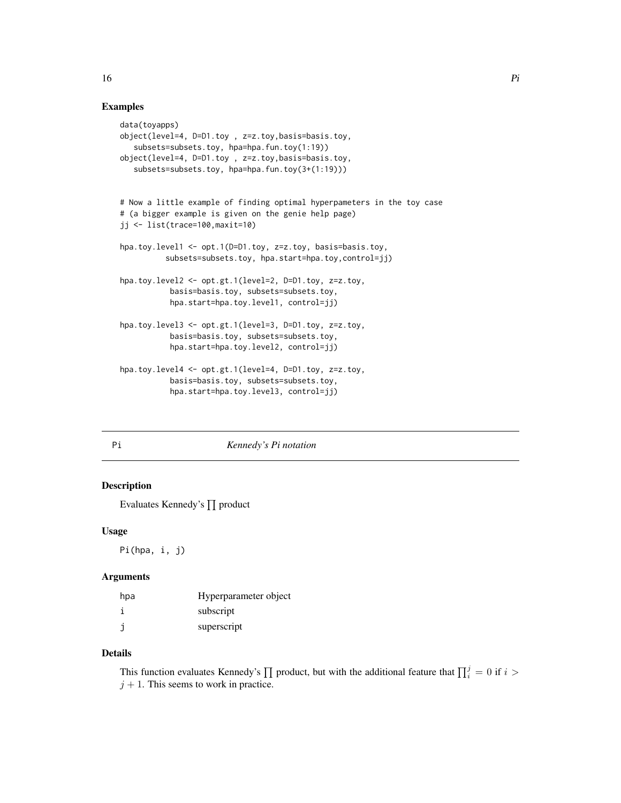# <span id="page-15-0"></span>Examples

```
data(toyapps)
object(level=4, D=D1.toy , z=z.toy,basis=basis.toy,
   subsets=subsets.toy, hpa=hpa.fun.toy(1:19))
object(level=4, D=D1.toy , z=z.toy,basis=basis.toy,
   subsets=subsets.toy, hpa=hpa.fun.toy(3+(1:19)))
# Now a little example of finding optimal hyperpameters in the toy case
# (a bigger example is given on the genie help page)
jj <- list(trace=100,maxit=10)
hpa.toy.level1 <- opt.1(D=D1.toy, z=z.toy, basis=basis.toy,
          subsets=subsets.toy, hpa.start=hpa.toy,control=jj)
hpa.toy.level2 <- opt.gt.1(level=2, D=D1.toy, z=z.toy,
           basis=basis.toy, subsets=subsets.toy,
           hpa.start=hpa.toy.level1, control=jj)
hpa.toy.level3 <- opt.gt.1(level=3, D=D1.toy, z=z.toy,
           basis=basis.toy, subsets=subsets.toy,
           hpa.start=hpa.toy.level2, control=jj)
hpa.toy.level4 <- opt.gt.1(level=4, D=D1.toy, z=z.toy,
           basis=basis.toy, subsets=subsets.toy,
           hpa.start=hpa.toy.level3, control=jj)
```
#### Pi *Kennedy's Pi notation*

# Description

Evaluates Kennedy's ∏ product

#### Usage

Pi(hpa, i, j)

#### Arguments

| hpa | Hyperparameter object |
|-----|-----------------------|
|     | subscript             |
|     | superscript           |

# Details

This function evaluates Kennedy's  $\prod$  product, but with the additional feature that  $\prod_{i=1}^{j}$  = 0 if  $i$  >  $j + 1$ . This seems to work in practice.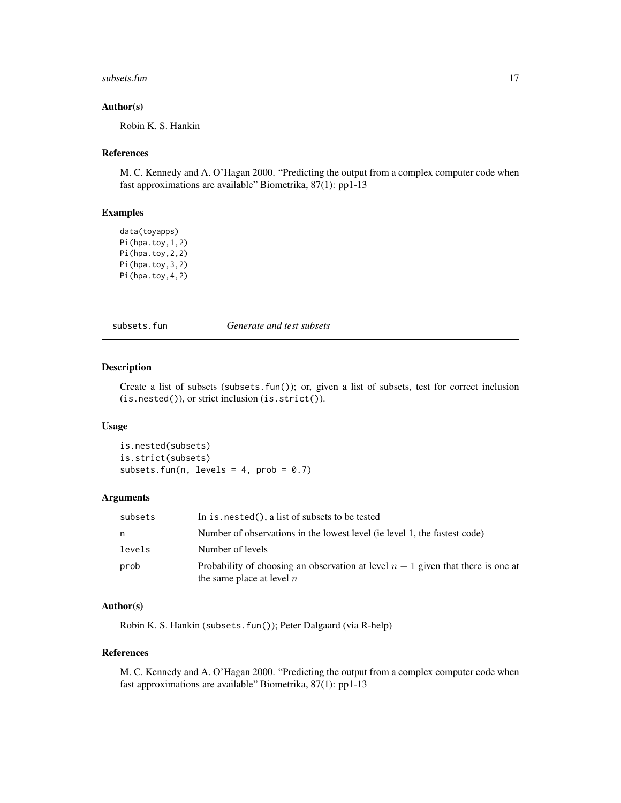#### <span id="page-16-0"></span> $\frac{17}{2}$  subsets.fun

#### Author(s)

Robin K. S. Hankin

# References

M. C. Kennedy and A. O'Hagan 2000. "Predicting the output from a complex computer code when fast approximations are available" Biometrika, 87(1): pp1-13

# Examples

```
data(toyapps)
Pi(hpa.toy,1,2)
Pi(hpa.toy,2,2)
Pi(hpa.toy,3,2)
Pi(hpa.toy,4,2)
```
subsets.fun *Generate and test subsets*

# <span id="page-16-1"></span>Description

Create a list of subsets (subsets.fun()); or, given a list of subsets, test for correct inclusion (is.nested()), or strict inclusion (is.strict()).

#### Usage

is.nested(subsets) is.strict(subsets) subsets.fun(n, levels = 4,  $prob = 0.7$ )

#### Arguments

| subsets | In is. $nested()$ , a list of subsets to be tested                                                                |
|---------|-------------------------------------------------------------------------------------------------------------------|
| n       | Number of observations in the lowest level (ie level 1, the fastest code)                                         |
| levels  | Number of levels                                                                                                  |
| prob    | Probability of choosing an observation at level $n + 1$ given that there is one at<br>the same place at level $n$ |

# Author(s)

Robin K. S. Hankin (subsets.fun()); Peter Dalgaard (via R-help)

# References

M. C. Kennedy and A. O'Hagan 2000. "Predicting the output from a complex computer code when fast approximations are available" Biometrika, 87(1): pp1-13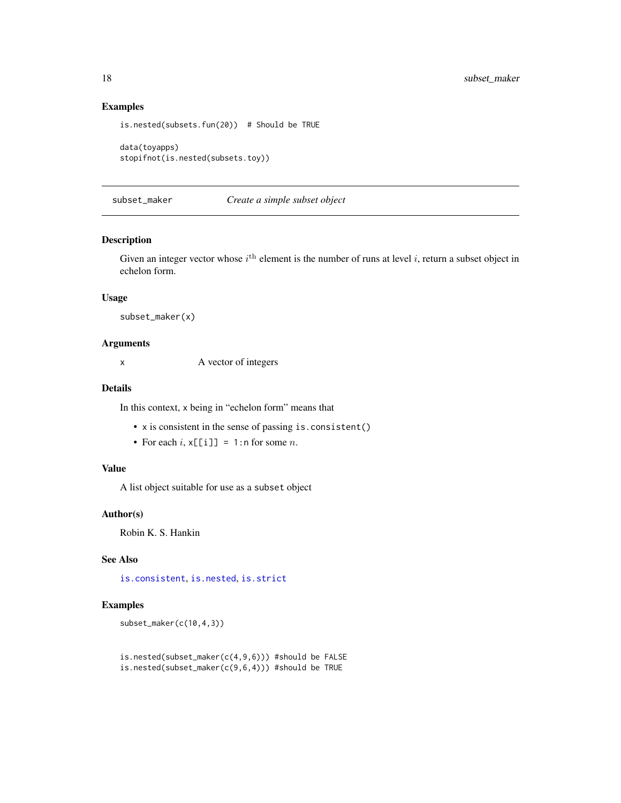# Examples

```
is.nested(subsets.fun(20)) # Should be TRUE
data(toyapps)
stopifnot(is.nested(subsets.toy))
```
# subset\_maker *Create a simple subset object*

### Description

Given an integer vector whose  $i^{\text{th}}$  element is the number of runs at level i, return a subset object in echelon form.

# Usage

subset\_maker(x)

#### Arguments

x A vector of integers

#### Details

In this context, x being in "echelon form" means that

- x is consistent in the sense of passing is.consistent()
- For each  $i$ ,  $x[[i]] = 1$ : n for some  $n$ .

#### Value

A list object suitable for use as a subset object

#### Author(s)

Robin K. S. Hankin

#### See Also

[is.consistent](#page-12-1), [is.nested](#page-16-1), [is.strict](#page-16-1)

# Examples

subset\_maker(c(10,4,3))

```
is.nested(subset_maker(c(4,9,6))) #should be FALSE
is.nested(subset_maker(c(9,6,4))) #should be TRUE
```
<span id="page-17-0"></span>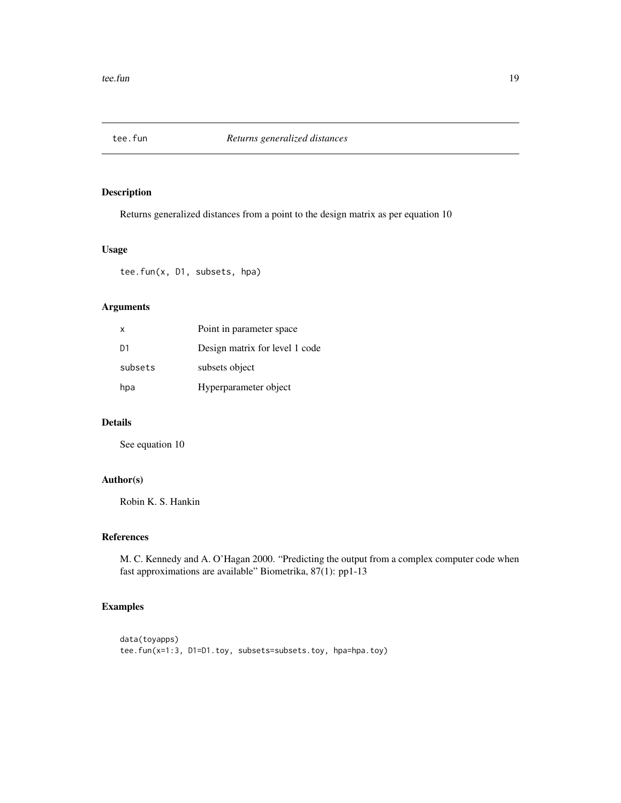<span id="page-18-0"></span>

Returns generalized distances from a point to the design matrix as per equation 10

# Usage

tee.fun(x, D1, subsets, hpa)

# Arguments

| $\mathsf{X}$   | Point in parameter space       |
|----------------|--------------------------------|
| D <sub>1</sub> | Design matrix for level 1 code |
| subsets        | subsets object                 |
| hpa            | Hyperparameter object          |

#### Details

See equation 10

# Author(s)

Robin K. S. Hankin

#### References

M. C. Kennedy and A. O'Hagan 2000. "Predicting the output from a complex computer code when fast approximations are available" Biometrika, 87(1): pp1-13

# Examples

```
data(toyapps)
tee.fun(x=1:3, D1=D1.toy, subsets=subsets.toy, hpa=hpa.toy)
```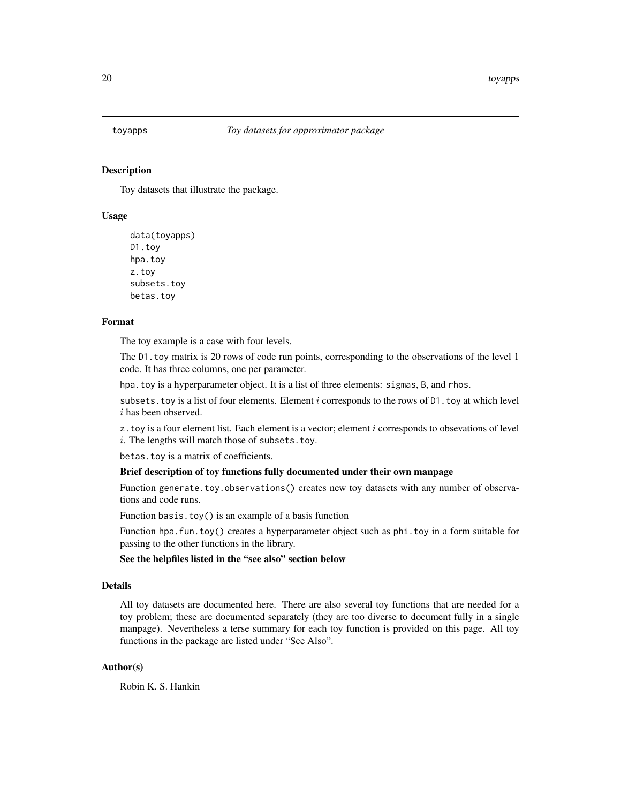<span id="page-19-0"></span>

Toy datasets that illustrate the package.

#### Usage

```
data(toyapps)
D1.toy
hpa.toy
z.toy
subsets.toy
betas.toy
```
#### Format

The toy example is a case with four levels.

The D1.toy matrix is 20 rows of code run points, corresponding to the observations of the level 1 code. It has three columns, one per parameter.

hpa.toy is a hyperparameter object. It is a list of three elements: sigmas, B, and rhos.

subsets. toy is a list of four elements. Element  $i$  corresponds to the rows of  $D1$ . toy at which level i has been observed.

 $z$ . toy is a four element list. Each element is a vector; element  $i$  corresponds to obsevations of level  $i.$  The lengths will match those of subsets.toy.

betas.toy is a matrix of coefficients.

#### Brief description of toy functions fully documented under their own manpage

Function generate.toy.observations() creates new toy datasets with any number of observations and code runs.

Function basis.toy() is an example of a basis function

Function hpa.fun.toy() creates a hyperparameter object such as phi.toy in a form suitable for passing to the other functions in the library.

See the helpfiles listed in the "see also" section below

# Details

All toy datasets are documented here. There are also several toy functions that are needed for a toy problem; these are documented separately (they are too diverse to document fully in a single manpage). Nevertheless a terse summary for each toy function is provided on this page. All toy functions in the package are listed under "See Also".

# Author(s)

Robin K. S. Hankin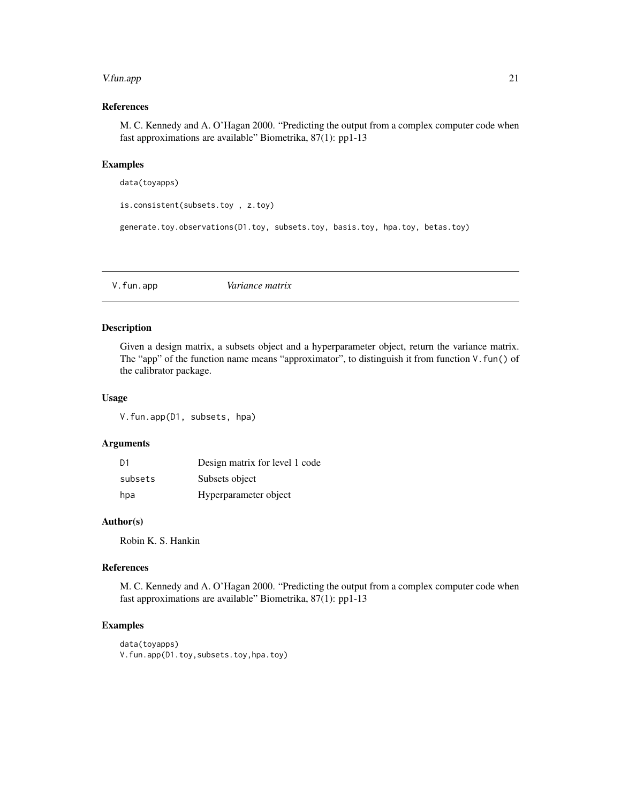#### <span id="page-20-0"></span>V.fun.app 21

# References

M. C. Kennedy and A. O'Hagan 2000. "Predicting the output from a complex computer code when fast approximations are available" Biometrika, 87(1): pp1-13

#### Examples

data(toyapps)

```
is.consistent(subsets.toy , z.toy)
```
generate.toy.observations(D1.toy, subsets.toy, basis.toy, hpa.toy, betas.toy)

V.fun.app *Variance matrix*

# Description

Given a design matrix, a subsets object and a hyperparameter object, return the variance matrix. The "app" of the function name means "approximator", to distinguish it from function V.fun() of the calibrator package.

# Usage

V.fun.app(D1, subsets, hpa)

# Arguments

| D <sub>1</sub> | Design matrix for level 1 code |
|----------------|--------------------------------|
| subsets        | Subsets object                 |
| hpa            | Hyperparameter object          |

#### Author(s)

Robin K. S. Hankin

# References

M. C. Kennedy and A. O'Hagan 2000. "Predicting the output from a complex computer code when fast approximations are available" Biometrika, 87(1): pp1-13

# Examples

data(toyapps) V.fun.app(D1.toy,subsets.toy,hpa.toy)